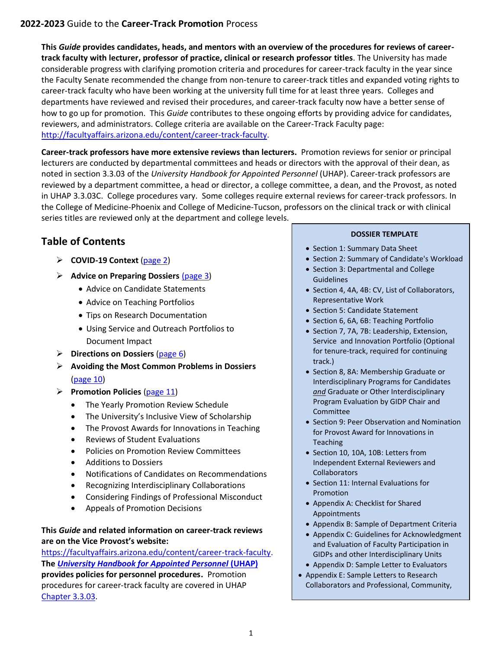**This** *Guide* **provides candidates, heads, and mentors with an overview of the procedures for reviews of careertrack faculty with lecturer, professor of practice, clinical or research professor titles**. The University has made considerable progress with clarifying promotion criteria and procedures for career-track faculty in the year since the Faculty Senate recommended the change from non-tenure to career-track titles and expanded voting rights to career-track faculty who have been working at the university full time for at least three years. Colleges and departments have reviewed and revised their procedures, and career-track faculty now have a better sense of how to go up for promotion. This *Guide* contributes to these ongoing efforts by providing advice for candidates, reviewers, and administrators. College criteria are available on the Career-Track Faculty page: [http://facultyaffairs.arizona.edu/content/career-track-faculty.](http://facultyaffairs.arizona.edu/content/career-track-faculty)

**Career-track professors have more extensive reviews than lecturers.** Promotion reviews for senior or principal lecturers are conducted by departmental committees and heads or directors with the approval of their dean, as noted in section 3.3.03 of the *University Handbook for Appointed Personnel* (UHAP). Career-track professors are reviewed by a department committee, a head or director, a college committee, a dean, and the Provost, as noted in UHAP 3.3.03C. College procedures vary. Some colleges require external reviews for career-track professors. In the College of Medicine-Phoenix and College of Medicine-Tucson, professors on the clinical track or with clinical series titles are reviewed only at the department and college levels.

# **Table of Contents**

- ➢ **COVID-19 Context** [\(page 2\)](#page-1-0)
- ➢ **Advice on Preparing Dossiers** [\(page](#page-1-0) 3)
	- Advice on Candidate Statements
	- Advice on Teaching Portfolios
	- Tips on Research Documentation
	- Using Service and Outreach Portfolios to Document Impact
- ➢ **Directions on Dossiers** [\(page 6\)](#page-6-0)
- ➢ **Avoiding the Most Common Problems in Dossiers**  [\(page 10\)](#page-11-0)
- ➢ **Promotion Policies** [\(page 11\)](#page-11-1)
	- The Yearly Promotion Review Schedule
	- The University's Inclusive View of Scholarship
	- The Provost Awards for Innovations in Teaching
	- Reviews of Student Evaluations
	- Policies on Promotion Review Committees
	- Additions to Dossiers
	- Notifications of Candidates on Recommendations
	- Recognizing Interdisciplinary Collaborations
	- Considering Findings of Professional Misconduct
	- Appeals of Promotion Decisions

### **This** *Guide* **and related information on career-track reviews are on the Vice Provost's website:**

[https://facultyaffairs.arizona.edu/content/career-track-faculty.](https://facultyaffairs.arizona.edu/content/career-track-faculty) **The** *[University Handbook for Appointed Personnel](http://policy.arizona.edu/university-handbook-appointed-personnel)* **(UHAP) provides policies for personnel procedures.** Promotion procedures for career-track faculty are covered in UHAP [Chapter 3.3.03.](http://policy.arizona.edu/employmenthuman-resources/promotion-and-tenure)

#### **DOSSIER TEMPLATE**

- Section 1: Summary Data Sheet
- Section 2: Summary of Candidate's Workload
- Section 3: Departmental and College Guidelines
- Section 4, 4A, 4B: CV, List of Collaborators, Representative Work
- Section 5: Candidate Statement
- Section 6, 6A, 6B: Teaching Portfolio
- Section 7, 7A, 7B: Leadership, Extension, Service and Innovation Portfolio (Optional for tenure-track, required for continuing track.)
- Section 8, 8A: Membership Graduate or Interdisciplinary Programs for Candidates *and* Graduate or Other Interdisciplinary Program Evaluation by GIDP Chair and Committee
- Section 9: Peer Observation and Nomination for Provost Award for Innovations in Teaching
- Section 10, 10A, 10B: Letters from Independent External Reviewers and **Collaborators**
- Section 11: Internal Evaluations for Promotion
- Appendix A: Checklist for Shared Appointments
- Appendix B: Sample of Department Criteria
- Appendix C: Guidelines for Acknowledgment and Evaluation of Faculty Participation in GIDPs and other Interdisciplinary Units
- Appendix D: Sample Letter to Evaluators
- Appendix E: Sample Letters to Research Collaborators and Professional, Community,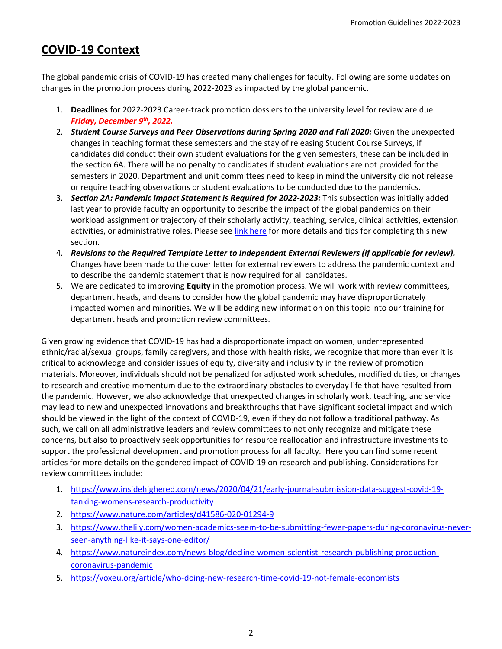# <span id="page-1-0"></span>**COVID-19 Context**

The global pandemic crisis of COVID-19 has created many challenges for faculty. Following are some updates on changes in the promotion process during 2022-2023 as impacted by the global pandemic.

- 1. **Deadlines** for 2022-2023 Career-track promotion dossiers to the university level for review are due *Friday, December 9th, 2022.*
- 2. *Student Course Surveys and Peer Observations during Spring 2020 and Fall 2020:* Given the unexpected changes in teaching format these semesters and the stay of releasing Student Course Surveys, if candidates did conduct their own student evaluations for the given semesters, these can be included in the section 6A. There will be no penalty to candidates if student evaluations are not provided for the semesters in 2020. Department and unit committees need to keep in mind the university did not release or require teaching observations or student evaluations to be conducted due to the pandemics.
- 3. *Section 2A: Pandemic Impact Statement is Required for 2022-2023:* This subsection was initially added last year to provide faculty an opportunity to describe the impact of the global pandemics on their workload assignment or trajectory of their scholarly activity, teaching, service, clinical activities, extension activities, or administrative roles. Please see [link here](https://facultyaffairs.arizona.edu/sites/default/files/2022-23_02A_CT_CSP_PT_Pandemic%20Impact%20Statement.pdf) for more details and tips for completing this new section.
- 4. *Revisions to the Required Template Letter to Independent External Reviewers (if applicable for review).* Changes have been made to the cover letter for external reviewers to address the pandemic context and to describe the pandemic statement that is now required for all candidates.
- 5. We are dedicated to improving **Equity** in the promotion process. We will work with review committees, department heads, and deans to consider how the global pandemic may have disproportionately impacted women and minorities. We will be adding new information on this topic into our training for department heads and promotion review committees.

Given growing evidence that COVID-19 has had a disproportionate impact on women, underrepresented ethnic/racial/sexual groups, family caregivers, and those with health risks, we recognize that more than ever it is critical to acknowledge and consider issues of equity, diversity and inclusivity in the review of promotion materials. Moreover, individuals should not be penalized for adjusted work schedules, modified duties, or changes to research and creative momentum due to the extraordinary obstacles to everyday life that have resulted from the pandemic. However, we also acknowledge that unexpected changes in scholarly work, teaching, and service may lead to new and unexpected innovations and breakthroughs that have significant societal impact and which should be viewed in the light of the context of COVID-19, even if they do not follow a traditional pathway. As such, we call on all administrative leaders and review committees to not only recognize and mitigate these concerns, but also to proactively seek opportunities for resource reallocation and infrastructure investments to support the professional development and promotion process for all faculty. Here you can find some recent articles for more details on the gendered impact of COVID-19 on research and publishing. Considerations for review committees include:

- 1. [https://www.insidehighered.com/news/2020/04/21/early-journal-submission-data-suggest-covid-19](https://www.insidehighered.com/news/2020/04/21/early-journal-submission-data-suggest-covid-19-tanking-womens-research-productivity) [tanking-womens-research-productivity](https://www.insidehighered.com/news/2020/04/21/early-journal-submission-data-suggest-covid-19-tanking-womens-research-productivity)
- 2. <https://www.nature.com/articles/d41586-020-01294-9>
- 3. [https://www.thelily.com/women-academics-seem-to-be-submitting-fewer-papers-during-coronavirus-never](https://www.thelily.com/women-academics-seem-to-be-submitting-fewer-papers-during-coronavirus-never-seen-anything-like-it-says-one-editor/)[seen-anything-like-it-says-one-editor/](https://www.thelily.com/women-academics-seem-to-be-submitting-fewer-papers-during-coronavirus-never-seen-anything-like-it-says-one-editor/)
- 4. [https://www.natureindex.com/news-blog/decline-women-scientist-research-publishing-production](https://www.natureindex.com/news-blog/decline-women-scientist-research-publishing-production-coronavirus-pandemic)[coronavirus-pandemic](https://www.natureindex.com/news-blog/decline-women-scientist-research-publishing-production-coronavirus-pandemic)
- 5. <https://voxeu.org/article/who-doing-new-research-time-covid-19-not-female-economists>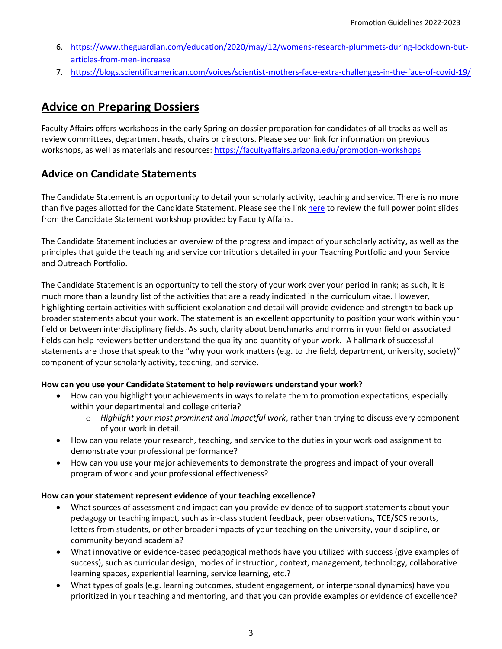- 6. [https://www.theguardian.com/education/2020/may/12/womens-research-plummets-during-lockdown-but](https://www.theguardian.com/education/2020/may/12/womens-research-plummets-during-lockdown-but-articles-from-men-increase)[articles-from-men-increase](https://www.theguardian.com/education/2020/may/12/womens-research-plummets-during-lockdown-but-articles-from-men-increase)
- 7. <https://blogs.scientificamerican.com/voices/scientist-mothers-face-extra-challenges-in-the-face-of-covid-19/>

# **Advice on Preparing Dossiers**

Faculty Affairs offers workshops in the early Spring on dossier preparation for candidates of all tracks as well as review committees, department heads, chairs or directors. Please see our link for information on previous workshops, as well as materials and resources:<https://facultyaffairs.arizona.edu/promotion-workshops>

## **Advice on Candidate Statements**

The Candidate Statement is an opportunity to detail your scholarly activity, teaching and service. There is no more than five pages allotted for the Candidate Statement. Please see the lin[k here](https://facultyaffairs.arizona.edu/promotion-workshops) to review the full power point slides from the Candidate Statement workshop provided by Faculty Affairs.

The Candidate Statement includes an overview of the progress and impact of your scholarly activity**,** as well as the principles that guide the teaching and service contributions detailed in your Teaching Portfolio and your Service and Outreach Portfolio.

The Candidate Statement is an opportunity to tell the story of your work over your period in rank; as such, it is much more than a laundry list of the activities that are already indicated in the curriculum vitae. However, highlighting certain activities with sufficient explanation and detail will provide evidence and strength to back up broader statements about your work. The statement is an excellent opportunity to position your work within your field or between interdisciplinary fields. As such, clarity about benchmarks and norms in your field or associated fields can help reviewers better understand the quality and quantity of your work. A hallmark of successful statements are those that speak to the "why your work matters (e.g. to the field, department, university, society)" component of your scholarly activity, teaching, and service.

### **How can you use your Candidate Statement to help reviewers understand your work?**

- How can you highlight your achievements in ways to relate them to promotion expectations, especially within your departmental and college criteria?
	- o *Highlight your most prominent and impactful work*, rather than trying to discuss every component of your work in detail.
- How can you relate your research, teaching, and service to the duties in your workload assignment to demonstrate your professional performance?
- How can you use your major achievements to demonstrate the progress and impact of your overall program of work and your professional effectiveness?

### **How can your statement represent evidence of your teaching excellence?**

- What sources of assessment and impact can you provide evidence of to support statements about your pedagogy or teaching impact, such as in-class student feedback, peer observations, TCE/SCS reports, letters from students, or other broader impacts of your teaching on the university, your discipline, or community beyond academia?
- What innovative or evidence-based pedagogical methods have you utilized with success (give examples of success), such as curricular design, modes of instruction, context, management, technology, collaborative learning spaces, experiential learning, service learning, etc.?
- What types of goals (e.g. learning outcomes, student engagement, or interpersonal dynamics) have you prioritized in your teaching and mentoring, and that you can provide examples or evidence of excellence?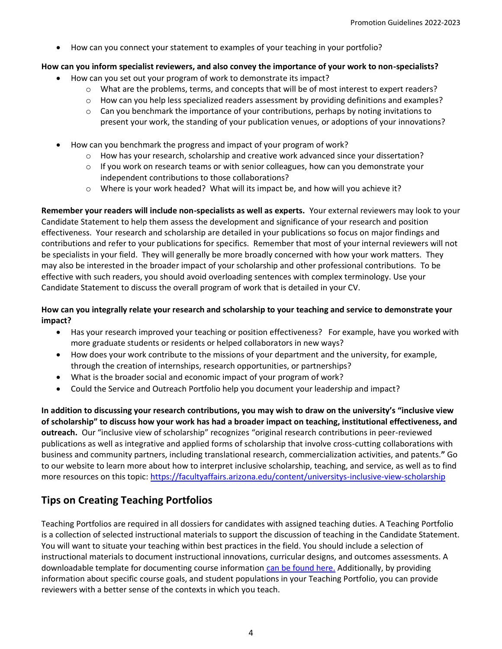• How can you connect your statement to examples of your teaching in your portfolio?

### **How can you inform specialist reviewers, and also convey the importance of your work to non-specialists?**

- How can you set out your program of work to demonstrate its impact?
	- o What are the problems, terms, and concepts that will be of most interest to expert readers?
	- $\circ$  How can you help less specialized readers assessment by providing definitions and examples?
	- $\circ$  Can you benchmark the importance of your contributions, perhaps by noting invitations to present your work, the standing of your publication venues, or adoptions of your innovations?
- How can you benchmark the progress and impact of your program of work?
	- $\circ$  How has your research, scholarship and creative work advanced since your dissertation?
	- $\circ$  If you work on research teams or with senior colleagues, how can you demonstrate your independent contributions to those collaborations?
	- $\circ$  Where is your work headed? What will its impact be, and how will you achieve it?

**Remember your readers will include non-specialists as well as experts.** Your external reviewers may look to your Candidate Statement to help them assess the development and significance of your research and position effectiveness. Your research and scholarship are detailed in your publications so focus on major findings and contributions and refer to your publications for specifics. Remember that most of your internal reviewers will not be specialists in your field. They will generally be more broadly concerned with how your work matters. They may also be interested in the broader impact of your scholarship and other professional contributions. To be effective with such readers, you should avoid overloading sentences with complex terminology. Use your Candidate Statement to discuss the overall program of work that is detailed in your CV.

### **How can you integrally relate your research and scholarship to your teaching and service to demonstrate your impact?**

- Has your research improved your teaching or position effectiveness? For example, have you worked with more graduate students or residents or helped collaborators in new ways?
- How does your work contribute to the missions of your department and the university, for example, through the creation of internships, research opportunities, or partnerships?
- What is the broader social and economic impact of your program of work?
- Could the Service and Outreach Portfolio help you document your leadership and impact?

**In addition to discussing your research contributions, you may wish to draw on the university's "inclusive view of scholarship" to discuss how your work has had a broader impact on teaching, institutional effectiveness, and outreach.** Our "inclusive view of scholarship" recognizes "original research contributions in peer-reviewed publications as well as integrative and applied forms of scholarship that involve cross-cutting collaborations with business and community partners, including translational research, commercialization activities, and patents.**"** Go to our website to learn more about how to interpret inclusive scholarship, teaching, and service, as well as to find more resources on this topic:<https://facultyaffairs.arizona.edu/content/universitys-inclusive-view-scholarship>

## **Tips on Creating Teaching Portfolios**

Teaching Portfolios are required in all dossiers for candidates with assigned teaching duties. A Teaching Portfolio is a collection of selected instructional materials to support the discussion of teaching in the Candidate Statement. You will want to situate your teaching within best practices in the field. You should include a selection of instructional materials to document instructional innovations, curricular designs, and outcomes assessments. A downloadable template for documenting course information [can be found here.](https://facultyaffairs.arizona.edu/sites/default/files/2022-23_06_CT_CSP_PT_Teaching%20Portfolio%20%26%20Resources.pdf) Additionally, by providing information about specific course goals, and student populations in your Teaching Portfolio, you can provide reviewers with a better sense of the contexts in which you teach.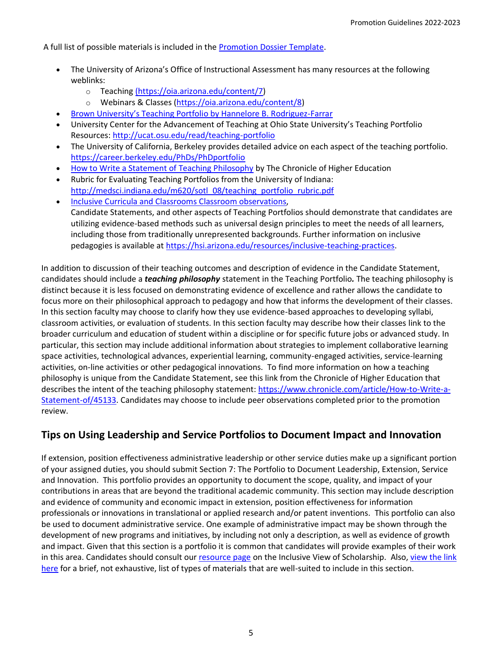A full list of possible materials is included in the [Promotion Dossier Template.](https://facultyaffairs.arizona.edu/content/promotion-dossier-templates)

- The University of Arizona's Office of Instructional Assessment has many resources at the following weblinks:
	- o [Teaching](https://oia.arizona.edu/content/7) [\(https://oia.arizona.edu/content/7\)](https://oia.arizona.edu/content/7)
	- o Webinars & Classes [\(https://oia.arizona.edu/content/8\)](https://oia.arizona.edu/content/8)
- [Brown University's Teaching Portfolio by Hannelore B. Rodriguez](https://facultyaffairs.arizona.edu/sites/default/files/The%20Teaching%20Portfolio.pdf)-Farrar
- University Center for the Advancement of Teaching at Ohio State University's Teaching Portfolio Resources:<http://ucat.osu.edu/read/teaching-portfolio>
- The University of California, Berkeley provides detailed advice on each aspect of the teaching portfolio. <https://career.berkeley.edu/PhDs/PhDportfolio>
- [How to Write a Statement of Teaching Philosophy](https://www.chronicle.com/article/How-to-Write-a-Statement-of/45133) by The Chronicle of Higher Education
- Rubric for Evaluating Teaching Portfolios from the University of Indiana: [http://medsci.indiana.edu/m620/sotl\\_08/teaching\\_portfolio\\_rubric.pdf](http://medsci.indiana.edu/m620/sotl_08/teaching_portfolio_rubric.pdf)
- [Inclusive Curricula and Classrooms Classroom observations,](https://diversity.arizona.edu/creating-inclusive-classrooms) Candidate Statements, and other aspects of Teaching Portfolios should demonstrate that candidates are utilizing evidence-based methods such as universal design principles to meet the needs of all learners, including those from traditionally unrepresented backgrounds. Further information on inclusive pedagogies is available at [https://hsi.arizona.edu/resources/inclusive-teaching-practices.](https://hsi.arizona.edu/resources/inclusive-teaching-practices)

In addition to discussion of their teaching outcomes and description of evidence in the Candidate Statement, candidates should include a *teaching philosophy* statement in the Teaching Portfolio*.* The teaching philosophy is distinct because it is less focused on demonstrating evidence of excellence and rather allows the candidate to focus more on their philosophical approach to pedagogy and how that informs the development of their classes. In this section faculty may choose to clarify how they use evidence-based approaches to developing syllabi, classroom activities, or evaluation of students. In this section faculty may describe how their classes link to the broader curriculum and education of student within a discipline or for specific future jobs or advanced study. In particular, this section may include additional information about strategies to implement collaborative learning space activities, technological advances, experiential learning, community-engaged activities, service-learning activities, on-line activities or other pedagogical innovations. To find more information on how a teaching philosophy is unique from the Candidate Statement, see this link from the Chronicle of Higher Education that describes the intent of the teaching philosophy statement: [https://www.chronicle.com/article/How-to-Write-a-](https://www.chronicle.com/article/How-to-Write-a-Statement-of/45133)[Statement-of/45133.](https://www.chronicle.com/article/How-to-Write-a-Statement-of/45133) Candidates may choose to include peer observations completed prior to the promotion review.

## **Tips on Using Leadership and Service Portfolios to Document Impact and Innovation**

If extension, position effectiveness administrative leadership or other service duties make up a significant portion of your assigned duties, you should submit Section 7: The Portfolio to Document Leadership, Extension, Service and Innovation. This portfolio provides an opportunity to document the scope, quality, and impact of your contributions in areas that are beyond the traditional academic community. This section may include description and evidence of community and economic impact in extension, position effectiveness for information professionals or innovations in translational or applied research and/or patent inventions. This portfolio can also be used to document administrative service. One example of administrative impact may be shown through the development of new programs and initiatives, by including not only a description, as well as evidence of growth and impact. Given that this section is a portfolio it is common that candidates will provide examples of their work in this area. Candidates should consult ou[r resource page](https://facultyaffairs.arizona.edu/node/329) on the Inclusive View of Scholarship. Also, view the link [here](https://facultyaffairs.arizona.edu/sites/default/files/2022-23_07_CT_CSP_PT_Portfolio%20for%20LESI_0.pdf) for a brief, not exhaustive, list of types of materials that are well-suited to include in this section.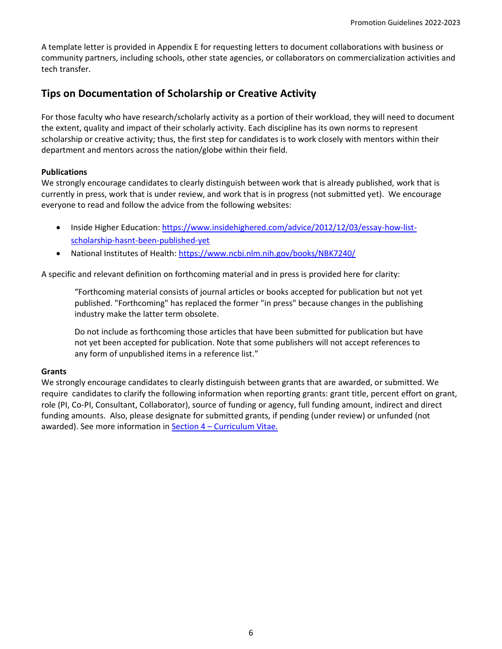A template letter is provided in Appendix E for requesting letters to document collaborations with business or community partners, including schools, other state agencies, or collaborators on commercialization activities and tech transfer.

## **Tips on Documentation of Scholarship or Creative Activity**

For those faculty who have research/scholarly activity as a portion of their workload, they will need to document the extent, quality and impact of their scholarly activity. Each discipline has its own norms to represent scholarship or creative activity; thus, the first step for candidates is to work closely with mentors within their department and mentors across the nation/globe within their field.

### **Publications**

We strongly encourage candidates to clearly distinguish between work that is already published, work that is currently in press, work that is under review, and work that is in progress (not submitted yet). We encourage everyone to read and follow the advice from the following websites:

- Inside Higher Education[: https://www.insidehighered.com/advice/2012/12/03/essay-how-list](https://www.insidehighered.com/advice/2012/12/03/essay-how-list-scholarship-hasnt-been-published-yet)[scholarship-hasnt-been-published-yet](https://www.insidehighered.com/advice/2012/12/03/essay-how-list-scholarship-hasnt-been-published-yet)
- National Institutes of Health:<https://www.ncbi.nlm.nih.gov/books/NBK7240/>

A specific and relevant definition on forthcoming material and in press is provided here for clarity:

"Forthcoming material consists of journal articles or books accepted for publication but not yet published. "Forthcoming" has replaced the former "in press" because changes in the publishing industry make the latter term obsolete.

Do not include as forthcoming those articles that have been submitted for publication but have not yet been accepted for publication. Note that some publishers will not accept references to any form of unpublished items in a reference list."

#### **Grants**

We strongly encourage candidates to clearly distinguish between grants that are awarded, or submitted. We require candidates to clarify the following information when reporting grants: grant title, percent effort on grant, role (PI, Co-PI, Consultant, Collaborator), source of funding or agency, full funding amount, indirect and direct funding amounts. Also, please designate for submitted grants, if pending (under review) or unfunded (not awarded). See more information in **Section 4 – [Curriculum Vitae.](https://facultyaffairs.arizona.edu/sites/default/files/2022-23_04_CT_PT_Curriculum%20Vitae.pdf)**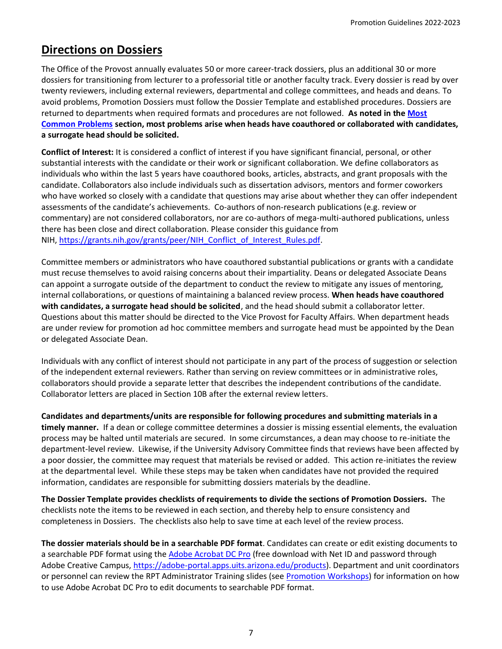# <span id="page-6-0"></span>**Directions on Dossiers**

The Office of the Provost annually evaluates 50 or more career-track dossiers, plus an additional 30 or more dossiers for transitioning from lecturer to a professorial title or another faculty track. Every dossier is read by over twenty reviewers, including external reviewers, departmental and college committees, and heads and deans. To avoid problems, Promotion Dossiers must follow the Dossier Template and established procedures. Dossiers are returned to departments when required formats and procedures are not followed. **As noted in the [Most](https://facultyaffairs.arizona.edu/node/373)  [Common Problems](https://facultyaffairs.arizona.edu/node/373) section, most problems arise when heads have coauthored or collaborated with candidates, a surrogate head should be solicited.**

**Conflict of Interest:** It is considered a conflict of interest if you have significant financial, personal, or other substantial interests with the candidate or their work or significant collaboration. We define collaborators as individuals who within the last 5 years have coauthored books, articles, abstracts, and grant proposals with the candidate. Collaborators also include individuals such as dissertation advisors, mentors and former coworkers who have worked so closely with a candidate that questions may arise about whether they can offer independent assessments of the candidate's achievements. Co-authors of non-research publications (e.g. review or commentary) are not considered collaborators, nor are co-authors of mega-multi-authored publications, unless there has been close and direct collaboration. Please consider this guidance from NIH, [https://grants.nih.gov/grants/peer/NIH\\_Conflict\\_of\\_Interest\\_Rules.pdf.](https://grants.nih.gov/grants/peer/NIH_Conflict_of_Interest_Rules.pdf)

Committee members or administrators who have coauthored substantial publications or grants with a candidate must recuse themselves to avoid raising concerns about their impartiality. Deans or delegated Associate Deans can appoint a surrogate outside of the department to conduct the review to mitigate any issues of mentoring, internal collaborations, or questions of maintaining a balanced review process. **When heads have coauthored with candidates, a surrogate head should be solicited**, and the head should submit a collaborator letter. Questions about this matter should be directed to the Vice Provost for Faculty Affairs. When department heads are under review for promotion ad hoc committee members and surrogate head must be appointed by the Dean or delegated Associate Dean.

Individuals with any conflict of interest should not participate in any part of the process of suggestion or selection of the independent external reviewers. Rather than serving on review committees or in administrative roles, collaborators should provide a separate letter that describes the independent contributions of the candidate. Collaborator letters are placed in Section 10B after the external review letters.

**Candidates and departments/units are responsible for following procedures and submitting materials in a timely manner.** If a dean or college committee determines a dossier is missing essential elements, the evaluation process may be halted until materials are secured. In some circumstances, a dean may choose to re-initiate the department-level review. Likewise, if the University Advisory Committee finds that reviews have been affected by a poor dossier, the committee may request that materials be revised or added. This action re-initiates the review at the departmental level. While these steps may be taken when candidates have not provided the required information, candidates are responsible for submitting dossiers materials by the deadline.

**The Dossier Template provides checklists of requirements to divide the sections of Promotion Dossiers.** The checklists note the items to be reviewed in each section, and thereby help to ensure consistency and completeness in Dossiers. The checklists also help to save time at each level of the review process.

**The dossier materials should be in a searchable PDF format**. Candidates can create or edit existing documents to a searchable PDF format using th[e Adobe Acrobat DC Pro](https://helpx.adobe.com/acrobat/using/scan-documents-pdf.html) (free download with Net ID and password through Adobe Creative Campus, [https://adobe-portal.apps.uits.arizona.edu/products\)](https://adobe-portal.apps.uits.arizona.edu/products). Department and unit coordinators or personnel can review the RPT Administrator Training slides (see [Promotion Workshops\)](https://facultyaffairs.arizona.edu/promotion-workshops) for information on how to use Adobe Acrobat DC Pro to edit documents to searchable PDF format.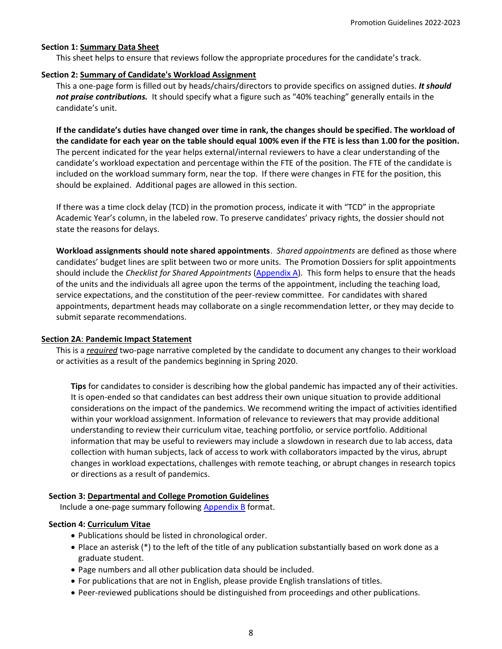#### **Section 1: Summary Data Sheet**

This sheet helps to ensure that reviews follow the appropriate procedures for the candidate's track.

#### **Section 2: Summary of Candidate's Workload Assignment**

This a one-page form is filled out by heads/chairs/directors to provide specifics on assigned duties. *It should not praise contributions.* It should specify what a figure such as "40% teaching" generally entails in the candidate's unit.

**If the candidate's duties have changed over time in rank, the changes should be specified. The workload of the candidate for each year on the table should equal 100% even if the FTE is less than 1.00 for the position.** The percent indicated for the year helps external/internal reviewers to have a clear understanding of the candidate's workload expectation and percentage within the FTE of the position. The FTE of the candidate is included on the workload summary form, near the top. If there were changes in FTE for the position, this should be explained. Additional pages are allowed in this section.

If there was a time clock delay (TCD) in the promotion process, indicate it with "TCD" in the appropriate Academic Year's column, in the labeled row. To preserve candidates' privacy rights, the dossier should not state the reasons for delays.

**Workload assignments should note shared appointments**. *Shared appointments* are defined as those where candidates' budget lines are split between two or more units. The Promotion Dossiers for split appointments should include the *Checklist for Shared Appointments* [\(Appendix A\)](https://facultyaffairs.arizona.edu/sites/default/files/2021-22_AppendixA_CT_CSP_PT_Checklist%20for%20Shared%20Appointments.pdf). This form helps to ensure that the heads of the units and the individuals all agree upon the terms of the appointment, including the teaching load, service expectations, and the constitution of the peer-review committee. For candidates with shared appointments, department heads may collaborate on a single recommendation letter, or they may decide to submit separate recommendations.

#### **Section 2A**: **Pandemic Impact Statement**

This is a *required* two-page narrative completed by the candidate to document any changes to their workload or activities as a result of the pandemics beginning in Spring 2020.

**Tips** for candidates to consider is describing how the global pandemic has impacted any of their activities. It is open-ended so that candidates can best address their own unique situation to provide additional considerations on the impact of the pandemics. We recommend writing the impact of activities identified within your workload assignment. Information of relevance to reviewers that may provide additional understanding to review their curriculum vitae, teaching portfolio, or service portfolio. Additional information that may be useful to reviewers may include a slowdown in research due to lab access, data collection with human subjects, lack of access to work with collaborators impacted by the virus, abrupt changes in workload expectations, challenges with remote teaching, or abrupt changes in research topics or directions as a result of pandemics.

### **Section 3: Departmental and College Promotion Guidelines**

Include a one-page summary following  $\Delta$ ppendix  $\overline{B}$  format.

### **Section 4: Curriculum Vitae**

- Publications should be listed in chronological order.
- Place an asterisk (\*) to the left of the title of any publication substantially based on work done as a graduate student.
- Page numbers and all other publication data should be included.
- For publications that are not in English, please provide English translations of titles.
- Peer-reviewed publications should be distinguished from proceedings and other publications.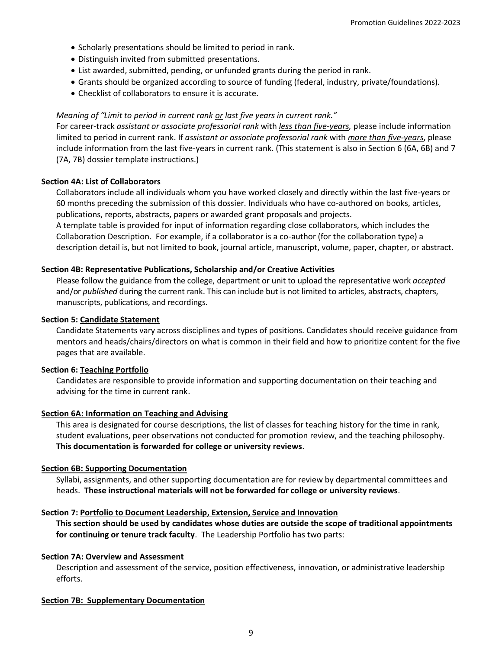- Scholarly presentations should be limited to period in rank.
- Distinguish invited from submitted presentations.
- List awarded, submitted, pending, or unfunded grants during the period in rank.
- Grants should be organized according to source of funding (federal, industry, private/foundations).
- Checklist of collaborators to ensure it is accurate.

#### *Meaning of "Limit to period in current rank or last five years in current rank."*

For career-track *assistant or associate professorial rank* with *less than five-years,* please include information limited to period in current rank. If *assistant or associate professorial rank* with *more than five-years*, please include information from the last five-years in current rank. (This statement is also in Section 6 (6A, 6B) and 7 (7A, 7B) dossier template instructions.)

#### **Section 4A: List of Collaborators**

Collaborators include all individuals whom you have worked closely and directly within the last five-years or 60 months preceding the submission of this dossier. Individuals who have co-authored on books, articles, publications, reports, abstracts, papers or awarded grant proposals and projects.

A template table is provided for input of information regarding close collaborators, which includes the Collaboration Description. For example, if a collaborator is a co-author (for the collaboration type) a description detail is, but not limited to book, journal article, manuscript, volume, paper, chapter, or abstract.

#### **Section 4B: Representative Publications, Scholarship and/or Creative Activities**

Please follow the guidance from the college, department or unit to upload the representative work *accepted* and/or *published* during the current rank. This can include but is not limited to articles, abstracts, chapters, manuscripts, publications, and recordings.

#### **Section 5: Candidate Statement**

Candidate Statements vary across disciplines and types of positions. Candidates should receive guidance from mentors and heads/chairs/directors on what is common in their field and how to prioritize content for the five pages that are available.

#### **Section 6: Teaching Portfolio**

Candidates are responsible to provide information and supporting documentation on their teaching and advising for the time in current rank.

#### **Section 6A: Information on Teaching and Advising**

This area is designated for course descriptions, the list of classes for teaching history for the time in rank, student evaluations, peer observations not conducted for promotion review, and the teaching philosophy. **This documentation is forwarded for college or university reviews.**

#### **Section 6B: Supporting Documentation**

Syllabi, assignments, and other supporting documentation are for review by departmental committees and heads. **These instructional materials will not be forwarded for college or university reviews**.

#### **Section 7: Portfolio to Document Leadership, Extension, Service and Innovation**

**This section should be used by candidates whose duties are outside the scope of traditional appointments for continuing or tenure track faculty**. The Leadership Portfolio has two parts:

#### **Section 7A: Overview and Assessment**

Description and assessment of the service, position effectiveness, innovation, or administrative leadership efforts.

#### **Section 7B: Supplementary Documentation**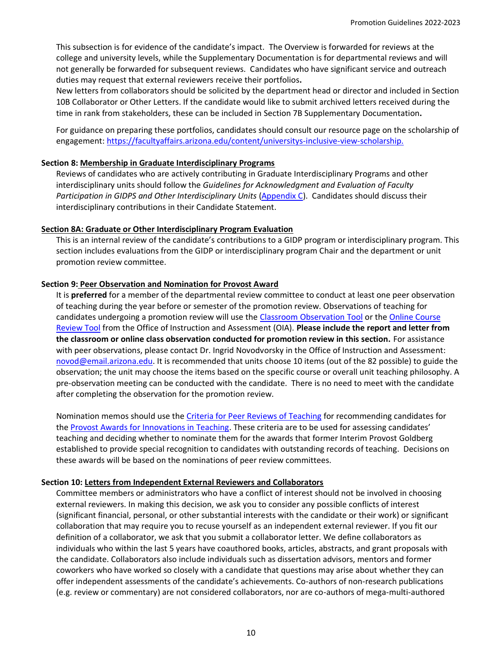This subsection is for evidence of the candidate's impact. The Overview is forwarded for reviews at the college and university levels, while the Supplementary Documentation is for departmental reviews and will not generally be forwarded for subsequent reviews. Candidates who have significant service and outreach duties may request that external reviewers receive their portfolios**.**

New letters from collaborators should be solicited by the department head or director and included in Section 10B Collaborator or Other Letters. If the candidate would like to submit archived letters received during the time in rank from stakeholders, these can be included in Section 7B Supplementary Documentation**.**

For guidance on preparing these portfolios, candidates should consult our resource page on the scholarship of engagement: [https://facultyaffairs.arizona.edu/content/universitys-inclusive-view-scholarship.](https://facultyaffairs.arizona.edu/content/universitys-inclusive-view-scholarship)

### **Section 8: Membership in Graduate Interdisciplinary Programs**

Reviews of candidates who are actively contributing in Graduate Interdisciplinary Programs and other interdisciplinary units should follow the *Guidelines for Acknowledgment and Evaluation of Faculty Participation in GIDPS and Other Interdisciplinary Units* [\(Appendix C\)](https://facultyaffairs.arizona.edu/sites/default/files/2022-23_AppendixC_CT_CSP_PT_GIDP%20Interdisciplinary%20Activities.pdf). Candidates should discuss their interdisciplinary contributions in their Candidate Statement.

#### **Section 8A: Graduate or Other Interdisciplinary Program Evaluation**

This is an internal review of the candidate's contributions to a GIDP program or interdisciplinary program. This section includes evaluations from the GIDP or interdisciplinary program Chair and the department or unit promotion review committee.

### **Section 9: Peer Observation and Nomination for Provost Award**

It is **preferred** for a member of the departmental review committee to conduct at least one peer observation of teaching during the year before or semester of the promotion review. Observations of teaching for candidates undergoing a promotion review will use the [Classroom Observation Tool](https://teachingprotocol.oia.arizona.edu/content/4) or th[e Online Course](https://teachingprotocol.oia.arizona.edu/content/6)  [Review Tool](https://teachingprotocol.oia.arizona.edu/content/6) from the Office of Instruction and Assessment (OIA). **Please include the report and letter from the classroom or online class observation conducted for promotion review in this section.** For assistance with peer observations, please contact Dr. Ingrid Novodvorsky in the Office of Instruction and Assessment: [novod@email.arizona.edu.](mailto:novod@email.arizona.edu) It is recommended that units choose 10 items (out of the 82 possible) to guide the observation; the unit may choose the items based on the specific course or overall unit teaching philosophy. A pre-observation meeting can be conducted with the candidate. There is no need to meet with the candidate after completing the observation for the promotion review.

Nomination memos should use the [Criteria for Peer Reviews of Teaching](https://facultyaffairs.arizona.edu/sites/default/files/2022-23_CT_CSP_PT_Criteria%20for%20Evaluating%20Teaching%20and%20Provost%20Award%20Nomination.pdf) for recommending candidates for the [Provost Awards for Innovations in Teaching](https://facultyaffairs.arizona.edu/content/provost-award-innovations-teaching). These criteria are to be used for assessing candidates' teaching and deciding whether to nominate them for the awards that former Interim Provost Goldberg established to provide special recognition to candidates with outstanding records of teaching. Decisions on these awards will be based on the nominations of peer review committees.

### **Section 10: Letters from Independent External Reviewers and Collaborators**

Committee members or administrators who have a conflict of interest should not be involved in choosing external reviewers. In making this decision, we ask you to consider any possible conflicts of interest (significant financial, personal, or other substantial interests with the candidate or their work) or significant collaboration that may require you to recuse yourself as an independent external reviewer. If you fit our definition of a collaborator, we ask that you submit a collaborator letter. We define collaborators as individuals who within the last 5 years have coauthored books, articles, abstracts, and grant proposals with the candidate. Collaborators also include individuals such as dissertation advisors, mentors and former coworkers who have worked so closely with a candidate that questions may arise about whether they can offer independent assessments of the candidate's achievements. Co-authors of non-research publications (e.g. review or commentary) are not considered collaborators, nor are co-authors of mega-multi-authored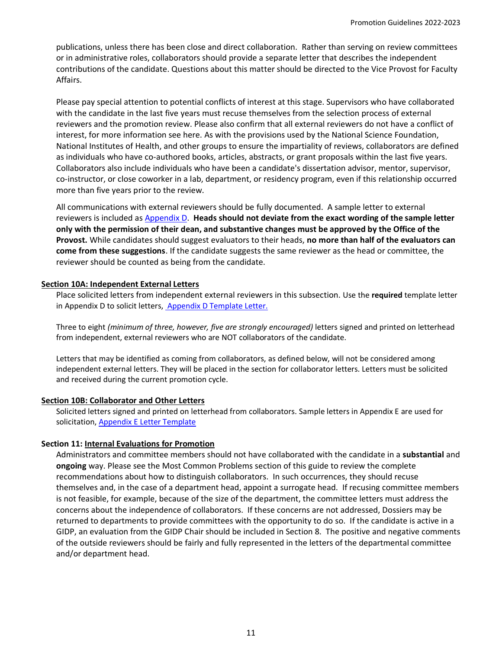publications, unless there has been close and direct collaboration. Rather than serving on review committees or in administrative roles, collaborators should provide a separate letter that describes the independent contributions of the candidate. Questions about this matter should be directed to the Vice Provost for Faculty Affairs.

Please pay special attention to potential conflicts of interest at this stage. Supervisors who have collaborated with the candidate in the last five years must recuse themselves from the selection process of external reviewers and the promotion review. Please also confirm that all external reviewers do not have a conflict of interest, for more information see here. As with the provisions used by the National Science Foundation, National Institutes of Health, and other groups to ensure the impartiality of reviews, collaborators are defined as individuals who have co-authored books, articles, abstracts, or grant proposals within the last five years. Collaborators also include individuals who have been a candidate's dissertation advisor, mentor, supervisor, co-instructor, or close coworker in a lab, department, or residency program, even if this relationship occurred more than five years prior to the review.

All communications with external reviewers should be fully documented. A sample letter to external reviewers is included as [Appendix D.](https://facultyaffairs.arizona.edu/sites/default/files/2022-23_AppendixD_CT_Required%20Template%20Letter%20to%20Independent%20External%20Reviewers__0.docx) **Heads should not deviate from the exact wording of the sample letter only with the permission of their dean, and substantive changes must be approved by the Office of the Provost.** While candidates should suggest evaluators to their heads, **no more than half of the evaluators can come from these suggestions**. If the candidate suggests the same reviewer as the head or committee, the reviewer should be counted as being from the candidate.

#### **Section 10A: Independent External Letters**

Place solicited letters from independent external reviewers in this subsection. Use the **required** template letter in Appendix D to solicit letters[, Appendix D Template Letter.](https://facultyaffairs.arizona.edu/sites/default/files/2022-23_AppendixD_CT_Required%20Template%20Letter%20to%20Independent%20External%20Reviewers__0.docx)

Three to eight *(minimum of three, however, five are strongly encouraged)* letters signed and printed on letterhead from independent, external reviewers who are NOT collaborators of the candidate.

Letters that may be identified as coming from collaborators, as defined below, will not be considered among independent external letters. They will be placed in the section for collaborator letters. Letters must be solicited and received during the current promotion cycle.

#### **Section 10B: Collaborator and Other Letters**

Solicited letters signed and printed on letterhead from collaborators. Sample letters in Appendix E are used for solicitation[, Appendix E Letter Template](https://facultyaffairs.arizona.edu/sites/default/files/2022-23_AppendixE_CT_Template%20Ltr%20Collaborators__0.docx)

#### **Section 11: Internal Evaluations for Promotion**

Administrators and committee members should not have collaborated with the candidate in a **substantial** and **ongoing** way. Please see the Most Common Problems section of this guide to review the complete recommendations about how to distinguish collaborators. In such occurrences, they should recuse themselves and, in the case of a department head, appoint a surrogate head. If recusing committee members is not feasible, for example, because of the size of the department, the committee letters must address the concerns about the independence of collaborators. If these concerns are not addressed, Dossiers may be returned to departments to provide committees with the opportunity to do so. If the candidate is active in a GIDP, an evaluation from the GIDP Chair should be included in Section 8. The positive and negative comments of the outside reviewers should be fairly and fully represented in the letters of the departmental committee and/or department head.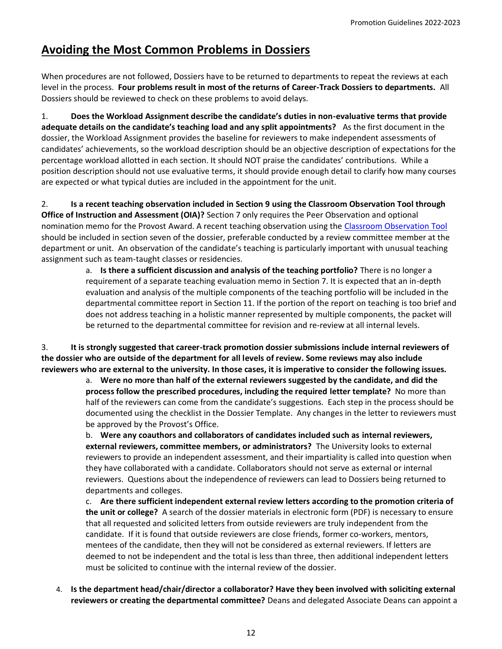# <span id="page-11-0"></span>**Avoiding the Most Common Problems in Dossiers**

When procedures are not followed, Dossiers have to be returned to departments to repeat the reviews at each level in the process. **Four problems result in most of the returns of Career-Track Dossiers to departments.** All Dossiers should be reviewed to check on these problems to avoid delays.

1. **Does the Workload Assignment describe the candidate's duties in non-evaluative terms that provide adequate details on the candidate's teaching load and any split appointments?** As the first document in the dossier, the Workload Assignment provides the baseline for reviewers to make independent assessments of candidates' achievements, so the workload description should be an objective description of expectations for the percentage workload allotted in each section. It should NOT praise the candidates' contributions. While a position description should not use evaluative terms, it should provide enough detail to clarify how many courses are expected or what typical duties are included in the appointment for the unit.

2. **Is a recent teaching observation included in Section 9 using the Classroom Observation Tool through Office of Instruction and Assessment (OIA)?** Section 7 only requires the Peer Observation and optional nomination memo for the Provost Award. A recent teaching observation using the [Classroom Observation Tool](https://teachingprotocol.oia.arizona.edu/content/4) should be included in section seven of the dossier, preferable conducted by a review committee member at the department or unit. An observation of the candidate's teaching is particularly important with unusual teaching assignment such as team-taught classes or residencies.

a. **Is there a sufficient discussion and analysis of the teaching portfolio?** There is no longer a requirement of a separate teaching evaluation memo in Section 7. It is expected that an in-depth evaluation and analysis of the multiple components of the teaching portfolio will be included in the departmental committee report in Section 11. If the portion of the report on teaching is too brief and does not address teaching in a holistic manner represented by multiple components, the packet will be returned to the departmental committee for revision and re-review at all internal levels.

3. **It is strongly suggested that career-track promotion dossier submissions include internal reviewers of the dossier who are outside of the department for all levels of review. Some reviews may also include reviewers who are external to the university. In those cases, it is imperative to consider the following issues.** 

> a. **Were no more than half of the external reviewers suggested by the candidate, and did the process follow the prescribed procedures, including the required letter template?** No more than half of the reviewers can come from the candidate's suggestions. Each step in the process should be documented using the checklist in the Dossier Template. Any changes in the letter to reviewers must be approved by the Provost's Office.

b. **Were any coauthors and collaborators of candidates included such as internal reviewers, external reviewers, committee members, or administrators?** The University looks to external reviewers to provide an independent assessment, and their impartiality is called into question when they have collaborated with a candidate. Collaborators should not serve as external or internal reviewers. Questions about the independence of reviewers can lead to Dossiers being returned to departments and colleges.

c. **Are there sufficient independent external review letters according to the promotion criteria of the unit or college?** A search of the dossier materials in electronic form (PDF) is necessary to ensure that all requested and solicited letters from outside reviewers are truly independent from the candidate. If it is found that outside reviewers are close friends, former co-workers, mentors, mentees of the candidate, then they will not be considered as external reviewers. If letters are deemed to not be independent and the total is less than three, then additional independent letters must be solicited to continue with the internal review of the dossier.

<span id="page-11-1"></span>4. **Is the department head/chair/director a collaborator? Have they been involved with soliciting external reviewers or creating the departmental committee?** Deans and delegated Associate Deans can appoint a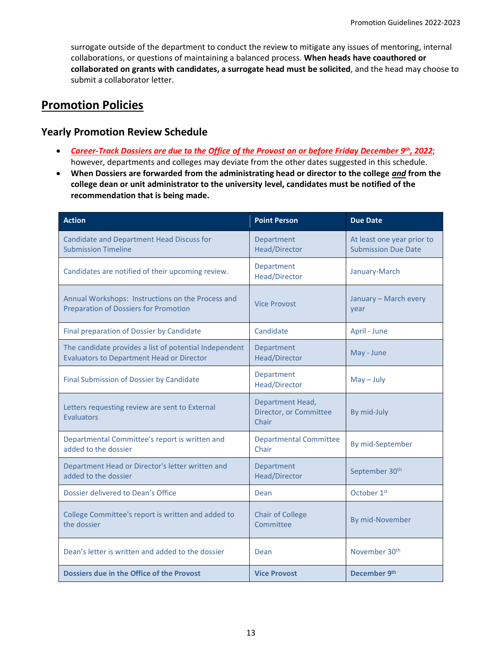surrogate outside of the department to conduct the review to mitigate any issues of mentoring, internal collaborations, or questions of maintaining a balanced process. **When heads have coauthored or collaborated on grants with candidates, a surrogate head must be solicited**, and the head may choose to submit a collaborator letter.

# **Promotion Policies**

## **Yearly Promotion Review Schedule**

- *Career-Track Dossiers are due to the Office of the Provost on or before Friday December 9th, 2022*; however, departments and colleges may deviate from the other dates suggested in this schedule.
- **When Dossiers are forwarded from the administrating head or director to the college** *and* **from the college dean or unit administrator to the university level, candidates must be notified of the recommendation that is being made.**

| <b>Action</b>                                                                                              | <b>Point Person</b>                                 | <b>Due Date</b>                                          |
|------------------------------------------------------------------------------------------------------------|-----------------------------------------------------|----------------------------------------------------------|
| <b>Candidate and Department Head Discuss for</b><br><b>Submission Timeline</b>                             | Department<br><b>Head/Director</b>                  | At least one year prior to<br><b>Submission Due Date</b> |
| Candidates are notified of their upcoming review.                                                          | Department<br>Head/Director                         | January-March                                            |
| Annual Workshops: Instructions on the Process and<br><b>Preparation of Dossiers for Promotion</b>          | <b>Vice Provost</b>                                 | January - March every<br>year                            |
| Final preparation of Dossier by Candidate                                                                  | Candidate                                           | April - June                                             |
| The candidate provides a list of potential Independent<br><b>Evaluators to Department Head or Director</b> | Department<br>Head/Director                         | May - June                                               |
| Final Submission of Dossier by Candidate                                                                   | Department<br>Head/Director                         | $May - July$                                             |
| Letters requesting review are sent to External<br><b>Evaluators</b>                                        | Department Head,<br>Director, or Committee<br>Chair | By mid-July                                              |
| Departmental Committee's report is written and<br>added to the dossier                                     | <b>Departmental Committee</b><br>Chair              | By mid-September                                         |
| Department Head or Director's letter written and<br>added to the dossier                                   | Department<br>Head/Director                         | September 30 <sup>th</sup>                               |
| Dossier delivered to Dean's Office                                                                         | Dean                                                | October 1st                                              |
| College Committee's report is written and added to<br>the dossier                                          | <b>Chair of College</b><br>Committee                | By mid-November                                          |
| Dean's letter is written and added to the dossier                                                          | Dean                                                | November 30 <sup>th</sup>                                |
| Dossiers due in the Office of the Provost                                                                  | <b>Vice Provost</b>                                 | December 9th                                             |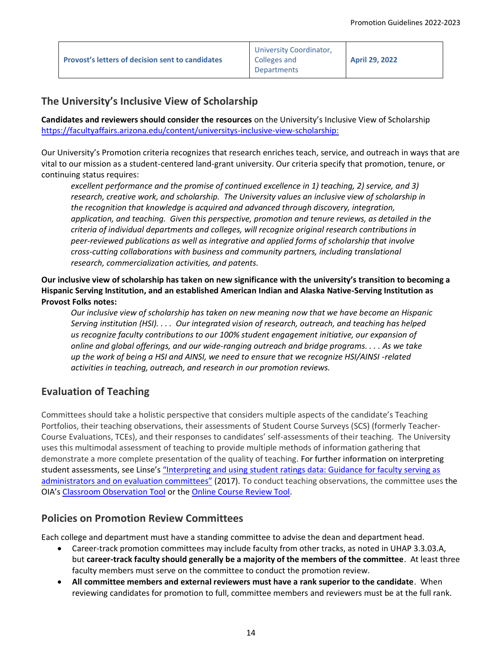| <b>Provost's letters of decision sent to candidates</b> | University Coordinator,<br>Colleges and<br><b>Departments</b> | <b>April 29, 2022</b> |
|---------------------------------------------------------|---------------------------------------------------------------|-----------------------|
|---------------------------------------------------------|---------------------------------------------------------------|-----------------------|

## **The University's Inclusive View of Scholarship**

**Candidates and reviewers should consider the resources** on the University's Inclusive View of Scholarship [https://facultyaffairs.arizona.edu/content/universitys-inclusive-view-scholarship:](https://facultyaffairs.arizona.edu/content/universitys-inclusive-view-scholarship)

Our University's Promotion criteria recognizes that research enriches teach, service, and outreach in ways that are vital to our mission as a student-centered land-grant university. Our criteria specify that promotion, tenure, or continuing status requires:

*excellent performance and the promise of continued excellence in 1) teaching, 2) service, and 3) research, creative work, and scholarship. The University values an inclusive view of scholarship in the recognition that knowledge is acquired and advanced through discovery, integration, application, and teaching. Given this perspective, promotion and tenure reviews, as detailed in the criteria of individual departments and colleges, will recognize original research contributions in peer-reviewed publications as well as integrative and applied forms of scholarship that involve cross-cutting collaborations with business and community partners, including translational research, commercialization activities, and patents.* 

### **Our inclusive view of scholarship has taken on new significance with the university's transition to becoming a Hispanic Serving Institution, and an established American Indian and Alaska Native-Serving Institution as Provost Folks notes:**

*Our inclusive view of scholarship has taken on new meaning now that we have become an Hispanic Serving institution (HSI). . . . Our integrated vision of research, outreach, and teaching has helped us recognize faculty contributions to our 100% student engagement initiative, our expansion of online and global offerings, and our wide-ranging outreach and bridge programs. . . . As we take up the work of being a HSI and AINSI, we need to ensure that we recognize HSI/AINSI -related activities in teaching, outreach, and research in our promotion reviews.*

## **Evaluation of Teaching**

Committees should take a holistic perspective that considers multiple aspects of the candidate's Teaching Portfolios, their teaching observations, their assessments of Student Course Surveys (SCS) (formerly Teacher-Course Evaluations, TCEs), and their responses to candidates' self-assessments of their teaching. The University uses this multimodal assessment of teaching to provide multiple methods of information gathering that demonstrate a more complete presentation of the quality of teaching. For further information on interpreting student assessments, see Linse'[s "Interpreting and using student ratings data: Guidance for faculty serving as](https://www.sciencedirect.com/science/article/pii/S0191491X16300232)  [administrators and on evaluation](https://www.sciencedirect.com/science/article/pii/S0191491X16300232) committees" (2017). To conduct teaching observations, the committee uses the OIA's [Classroom](http://teachingprotocol.oia.arizona.edu/) [Observation](https://teachingprotocol.oia.arizona.edu/content/4) Tool or the [Online Course Review Tool.](https://teachingprotocol.oia.arizona.edu/content/6)

## **Policies on Promotion Review Committees**

Each college and department must have a standing committee to advise the dean and department head.

- Career-track promotion committees may include faculty from other tracks, as noted in UHAP 3.3.03.A, but **career-track faculty should generally be a majority of the members of the committee**. At least three faculty members must serve on the committee to conduct the promotion review.
- **All committee members and external reviewers must have a rank superior to the candidate**. When reviewing candidates for promotion to full, committee members and reviewers must be at the full rank.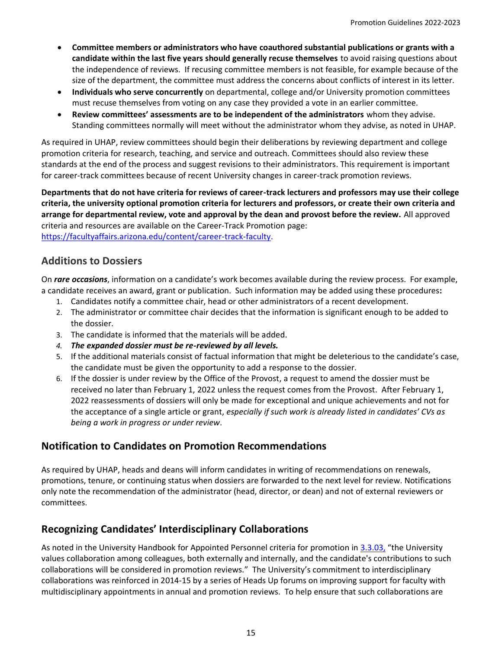- **Committee members or administrators who have coauthored substantial publications or grants with a candidate within the last five years should generally recuse themselves** to avoid raising questions about the independence of reviews. If recusing committee members is not feasible, for example because of the size of the department, the committee must address the concerns about conflicts of interest in its letter.
- **Individuals who serve concurrently** on departmental, college and/or University promotion committees must recuse themselves from voting on any case they provided a vote in an earlier committee.
- **Review committees' assessments are to be independent of the administrators** whom they advise. Standing committees normally will meet without the administrator whom they advise, as noted in UHAP.

As required in UHAP, review committees should begin their deliberations by reviewing department and college promotion criteria for research, teaching, and service and outreach. Committees should also review these standards at the end of the process and suggest revisions to their administrators. This requirement is important for career-track committees because of recent University changes in career-track promotion reviews.

**Departments that do not have criteria for reviews of career-track lecturers and professors may use their college criteria, the university optional promotion criteria for lecturers and professors, or create their own criteria and arrange for departmental review, vote and approval by the dean and provost before the review.** All approved criteria and resources are available on the Career-Track Promotion page: https://facultyaffairs.arizona.edu/content/career-track-faculty.

## **Additions to Dossiers**

On *rare occasions*, information on a candidate's work becomes available during the review process. For example, a candidate receives an award, grant or publication. Such information may be added using these procedures**:**

- 1. Candidates notify a committee chair, head or other administrators of a recent development.
- 2. The administrator or committee chair decides that the information is significant enough to be added to the dossier.
- 3. The candidate is informed that the materials will be added.
- *4. The expanded dossier must be re-reviewed by all levels.*
- 5. If the additional materials consist of factual information that might be deleterious to the candidate's case, the candidate must be given the opportunity to add a response to the dossier.
- 6. If the dossier is under review by the Office of the Provost, a request to amend the dossier must be received no later than February 1, 2022 unless the request comes from the Provost. After February 1, 2022 reassessments of dossiers will only be made for exceptional and unique achievements and not for the acceptance of a single article or grant, *especially if such work is already listed in candidates' CVs as being a work in progress or under review*.

## **Notification to Candidates on Promotion Recommendations**

As required by UHAP, heads and deans will inform candidates in writing of recommendations on renewals, promotions, tenure, or continuing status when dossiers are forwarded to the next level for review. Notifications only note the recommendation of the administrator (head, director, or dean) and not of external reviewers or committees.

## **Recognizing Candidates' Interdisciplinary Collaborations**

As noted in the University Handbook for Appointed Personnel criteria for promotion in [3.3.03](http://policy.arizona.edu/human-resources/promotion-and-tenure), "the University values collaboration among colleagues, both externally and internally, and the candidate's contributions to such collaborations will be considered in promotion reviews." The University's commitment to interdisciplinary collaborations was reinforced in 2014-15 by a series of Heads Up forums on improving support for faculty with multidisciplinary appointments in annual and promotion reviews. To help ensure that such collaborations are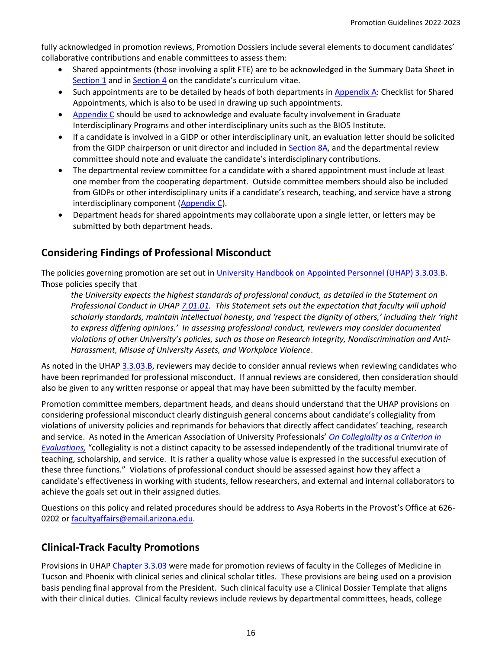fully acknowledged in promotion reviews, Promotion Dossiers include several elements to document candidates' collaborative contributions and enable committees to assess them:

- Shared appointments (those involving a split FTE) are to be acknowledged in the Summary Data Sheet in [Section 1](https://facultyaffairs.arizona.edu/content/promotion-dossier-templates) and in [Section 4](https://facultyaffairs.arizona.edu/content/promotion-dossier-templates) on the candidate's curriculum vitae.
- Such appointments are to be detailed by heads of both departments in [Appendix A:](https://facultyaffairs.arizona.edu/sites/default/files/2022-23_AppendixA_CT_CSP_PT_Checklist%20for%20Shared%20Appointments_0.pdf) Checklist for Shared Appointments, which is also to be used in drawing up such appointments.
- [Appendix C](https://facultyaffairs.arizona.edu/sites/default/files/2022-23_AppendixC_CT_CSP_PT_GIDP%20Interdisciplinary%20Activities.pdf) should be used to acknowledge and evaluate faculty involvement in Graduate Interdisciplinary Programs and other interdisciplinary units such as the BIO5 Institute.
- If a candidate is involved in a GIDP or other interdisciplinary unit, an evaluation letter should be solicited from the GIDP chairperson or unit director and included in [Section 8](https://facultyaffairs.arizona.edu/sites/default/files/2022-23_08A_GIDP%20Evaluation.pdf)A, and the departmental review committee should note and evaluate the candidate's interdisciplinary contributions.
- The departmental review committee for a candidate with a shared appointment must include at least one member from the cooperating department. Outside committee members should also be included from GIDPs or other interdisciplinary units if a candidate's research, teaching, and service have a strong interdisciplinary component [\(Appendix C\)](https://facultyaffairs.arizona.edu/sites/default/files/2022-23_AppendixC_CT_CSP_PT_GIDP%20Interdisciplinary%20Activities.pdf).
- Department heads for shared appointments may collaborate upon a single letter, or letters may be submitted by both department heads.

# **Considering Findings of Professional Misconduct**

The policies governing promotion are set out in [University Handbook on Appointed Personnel](https://policy.arizona.edu/employment-human-resources/promotion-and-tenure) (UHAP) 3.3.03.B. Those policies specify that

*the University expects the highest standards of professional conduct, as detailed in the Statement on Professional Conduct in UHAP [7.01.01.](https://policy.arizona.edu/faculty-affairs-and-academics/professional-conduct) This Statement sets out the expectation that faculty will uphold scholarly standards, maintain intellectual honesty, and 'respect the dignity of others,' including their 'right to express differing opinions.' In assessing professional conduct, reviewers may consider documented violations of other University's policies, such as those on Research Integrity, Nondiscrimination and Anti-Harassment, Misuse of University Assets, and Workplace Violence*.

As noted in the UHAP [3.3.03.B,](https://policy.arizona.edu/employment-human-resources/promotion-and-tenure) reviewers may decide to consider annual reviews when reviewing candidates who have been reprimanded for professional misconduct. If annual reviews are considered, then consideration should also be given to any written response or appeal that may have been submitted by the faculty member.

Promotion committee members, department heads, and deans should understand that the UHAP provisions on considering professional misconduct clearly distinguish general concerns about candidate's collegiality from violations of university policies and reprimands for behaviors that directly affect candidates' teaching, research and service. As noted in the American Association of University Professionals' *[On Collegiality as a Criterion in](http://www.aaup.org/report/collegiality-criterion-faculty-evaluation)  [Evaluations,](http://www.aaup.org/report/collegiality-criterion-faculty-evaluation)* "collegiality is not a distinct capacity to be assessed independently of the traditional triumvirate of teaching, scholarship, and service. It is rather a quality whose value is expressed in the successful execution of these three functions." Violations of professional conduct should be assessed against how they affect a candidate's effectiveness in working with students, fellow researchers, and external and internal collaborators to achieve the goals set out in their assigned duties.

Questions on this policy and related procedures should be address to Asya Roberts in the Provost's Office at 626- 0202 or [facultyaffairs@email.arizona.edu.](mailto:asya@arizona.edu)

## **Clinical-Track Faculty Promotions**

Provisions in UHAP [Chapter 3.3.03](http://policy.arizona.edu/employmenthuman-resources/promotion-and-tenure) were made for promotion reviews of faculty in the Colleges of Medicine in Tucson and Phoenix with clinical series and clinical scholar titles. These provisions are being used on a provision basis pending final approval from the President. Such clinical faculty use a Clinical Dossier Template that aligns with their clinical duties. Clinical faculty reviews include reviews by departmental committees, heads, college